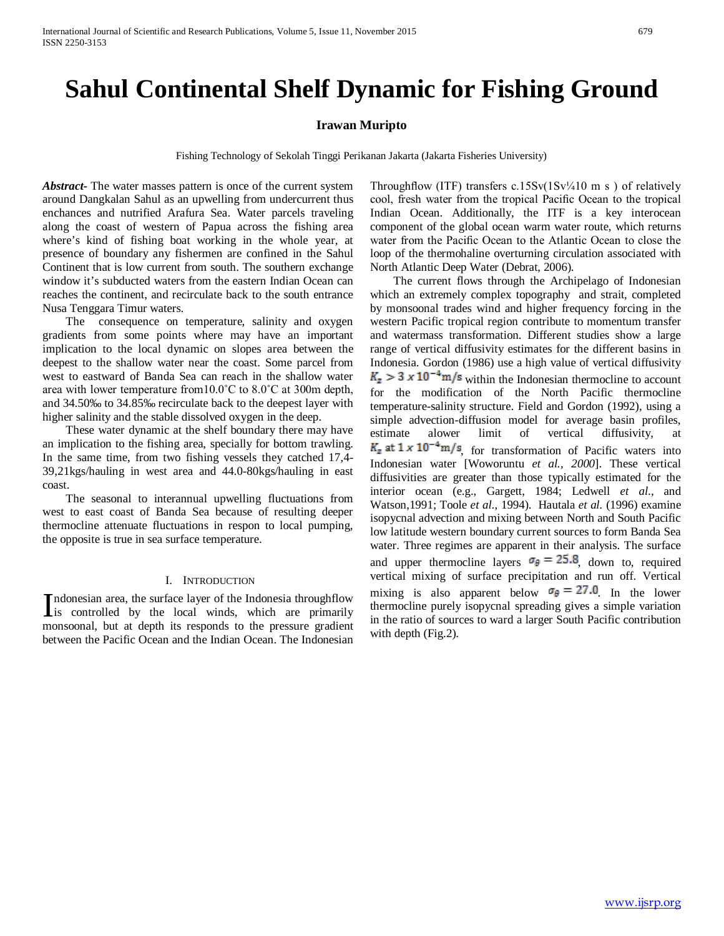# **Sahul Continental Shelf Dynamic for Fishing Ground**

# **Irawan Muripto**

Fishing Technology of Sekolah Tinggi Perikanan Jakarta (Jakarta Fisheries University)

*Abstract***-** The water masses pattern is once of the current system around Dangkalan Sahul as an upwelling from undercurrent thus enchances and nutrified Arafura Sea. Water parcels traveling along the coast of western of Papua across the fishing area where's kind of fishing boat working in the whole year, at presence of boundary any fishermen are confined in the Sahul Continent that is low current from south. The southern exchange window it's subducted waters from the eastern Indian Ocean can reaches the continent, and recirculate back to the south entrance Nusa Tenggara Timur waters.

 The consequence on temperature, salinity and oxygen gradients from some points where may have an important implication to the local dynamic on slopes area between the deepest to the shallow water near the coast. Some parcel from west to eastward of Banda Sea can reach in the shallow water area with lower temperature from10.0˚C to 8.0˚C at 300m depth, and 34.50‰ to 34.85‰ recirculate back to the deepest layer with higher salinity and the stable dissolved oxygen in the deep.

 These water dynamic at the shelf boundary there may have an implication to the fishing area, specially for bottom trawling. In the same time, from two fishing vessels they catched 17,4- 39,21kgs/hauling in west area and 44.0-80kgs/hauling in east coast.

 The seasonal to interannual upwelling fluctuations from west to east coast of Banda Sea because of resulting deeper thermocline attenuate fluctuations in respon to local pumping, the opposite is true in sea surface temperature.

## I. INTRODUCTION

ndonesian area, the surface layer of the Indonesia throughflow Indonesian area, the surface layer of the Indonesia throughflow<br>is controlled by the local winds, which are primarily monsoonal, but at depth its responds to the pressure gradient between the Pacific Ocean and the Indian Ocean. The Indonesian

Throughflow (ITF) transfers c.15Sv( $1Sv/410$  m s) of relatively cool, fresh water from the tropical Pacific Ocean to the tropical Indian Ocean. Additionally, the ITF is a key interocean component of the global ocean warm water route, which returns water from the Pacific Ocean to the Atlantic Ocean to close the loop of the thermohaline overturning circulation associated with North Atlantic Deep Water (Debrat, 2006).

 The current flows through the Archipelago of Indonesian which an extremely complex topography and strait, completed by monsoonal trades wind and higher frequency forcing in the western Pacific tropical region contribute to momentum transfer and watermass transformation. Different studies show a large range of vertical diffusivity estimates for the different basins in Indonesia. Gordon (1986) use a high value of vertical diffusivity  $K_{\rm z} > 3 \times 10^{-4} \text{m/s}$  within the Indonesian thermocline to account for the modification of the North Pacific thermocline temperature-salinity structure. Field and Gordon (1992), using a simple advection-diffusion model for average basin profiles, estimate alower limit of vertical diffusivity, at  $K_{\rm z}$  at  $1 \times 10^{-4}$  m/s, for transformation of Pacific waters into Indonesian water [Woworuntu *et al., 2000*]. These vertical diffusivities are greater than those typically estimated for the interior ocean (e.g., Gargett, 1984; Ledwell *et al*., and Watson,1991; Toole *et al.*, 1994). Hautala *et al.* (1996) examine isopycnal advection and mixing between North and South Pacific low latitude western boundary current sources to form Banda Sea water. Three regimes are apparent in their analysis. The surface and upper thermocline layers  $\sigma_{\theta} = 25.8$ , down to, required vertical mixing of surface precipitation and run off. Vertical mixing is also apparent below  $\sigma_{\theta} = 27.0$ . In the lower thermocline purely isopycnal spreading gives a simple variation in the ratio of sources to ward a larger South Pacific contribution with depth (Fig.2).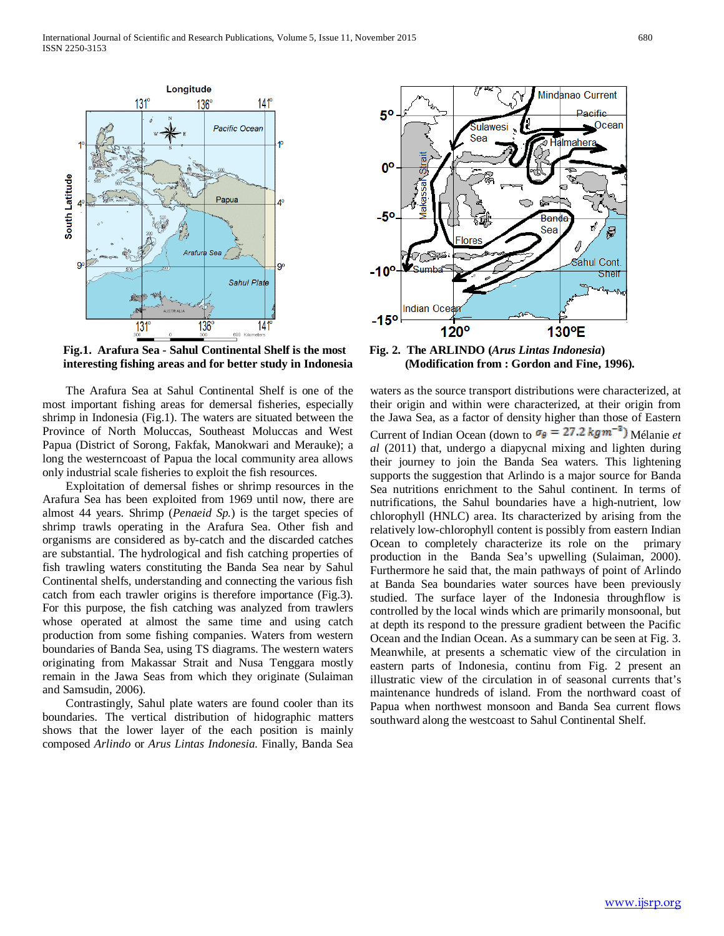

**Fig.1. Arafura Sea - Sahul Continental Shelf is the most interesting fishing areas and for better study in Indonesia** 

 The Arafura Sea at Sahul Continental Shelf is one of the most important fishing areas for demersal fisheries, especially shrimp in Indonesia (Fig.1). The waters are situated between the Province of North Moluccas, Southeast Moluccas and West Papua (District of Sorong, Fakfak, Manokwari and Merauke); a long the westerncoast of Papua the local community area allows only industrial scale fisheries to exploit the fish resources.

 Exploitation of demersal fishes or shrimp resources in the Arafura Sea has been exploited from 1969 until now, there are almost 44 years. Shrimp (*Penaeid Sp.*) is the target species of shrimp trawls operating in the Arafura Sea. Other fish and organisms are considered as by-catch and the discarded catches are substantial. The hydrological and fish catching properties of fish trawling waters constituting the Banda Sea near by Sahul Continental shelfs, understanding and connecting the various fish catch from each trawler origins is therefore importance (Fig.3). For this purpose, the fish catching was analyzed from trawlers whose operated at almost the same time and using catch production from some fishing companies. Waters from western boundaries of Banda Sea, using TS diagrams. The western waters originating from Makassar Strait and Nusa Tenggara mostly remain in the Jawa Seas from which they originate (Sulaiman and Samsudin, 2006).

 Contrastingly, Sahul plate waters are found cooler than its boundaries. The vertical distribution of hidographic matters shows that the lower layer of the each position is mainly composed *Arlindo* or *Arus Lintas Indonesia*. Finally, Banda Sea



**Fig. 2. The ARLINDO (***Arus Lintas Indonesia***) (Modification from : Gordon and Fine, 1996).**

waters as the source transport distributions were characterized, at their origin and within were characterized, at their origin from the Jawa Sea, as a factor of density higher than those of Eastern Current of Indian Ocean (down to  $\sigma_{\theta} = 27.2$  kgm<sup>-3</sup>) Mélanie *et al* (2011) that, undergo a diapycnal mixing and lighten during their journey to join the Banda Sea waters. This lightening supports the suggestion that Arlindo is a major source for Banda Sea nutritions enrichment to the Sahul continent. In terms of nutrifications, the Sahul boundaries have a high-nutrient, low chlorophyll (HNLC) area. Its characterized by arising from the relatively low-chlorophyll content is possibly from eastern Indian Ocean to completely characterize its role on the primary production in the Banda Sea's upwelling (Sulaiman, 2000). Furthermore he said that, the main pathways of point of Arlindo at Banda Sea boundaries water sources have been previously studied. The surface layer of the Indonesia throughflow is controlled by the local winds which are primarily monsoonal, but at depth its respond to the pressure gradient between the Pacific Ocean and the Indian Ocean. As a summary can be seen at Fig. 3. Meanwhile, at presents a schematic view of the circulation in eastern parts of Indonesia, continu from Fig. 2 present an illustratic view of the circulation in of seasonal currents that's maintenance hundreds of island. From the northward coast of Papua when northwest monsoon and Banda Sea current flows southward along the westcoast to Sahul Continental Shelf.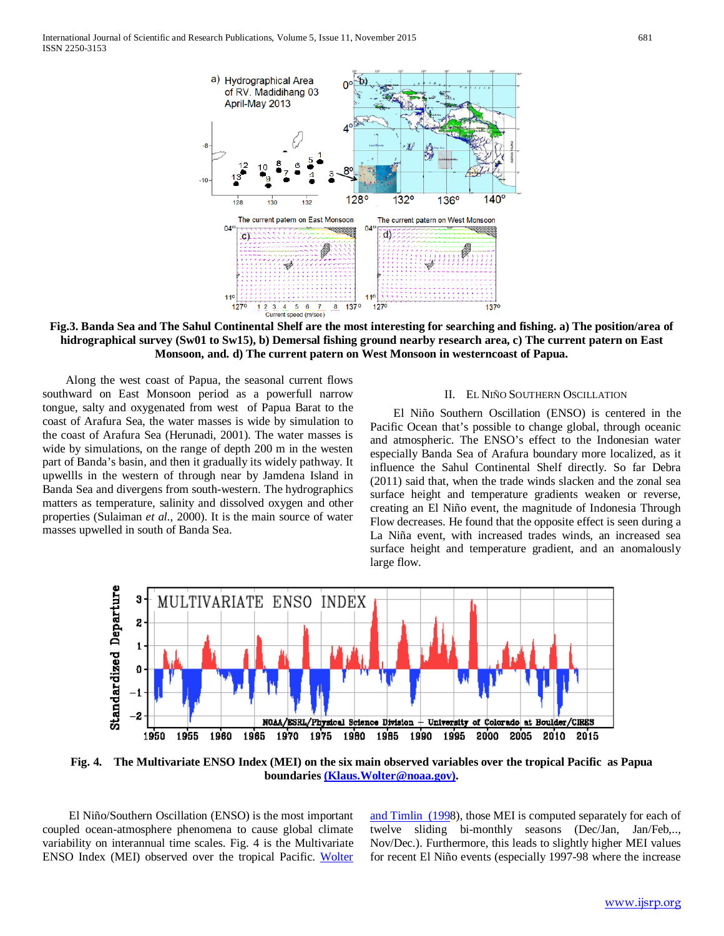International Journal of Scientific and Research Publications, Volume 5, Issue 11, November 2015 681 ISSN 2250-3153



**Fig.3. Banda Sea and The Sahul Continental Shelf are the most interesting for searching and fishing. a) The position/area of hidrographical survey (Sw01 to Sw15), b) Demersal fishing ground nearby research area, c) The current patern on East Monsoon, and. d) The current patern on West Monsoon in westerncoast of Papua.**

 Along the west coast of Papua, the seasonal current flows southward on East Monsoon period as a powerfull narrow tongue, salty and oxygenated from west of Papua Barat to the coast of Arafura Sea, the water masses is wide by simulation to the coast of Arafura Sea (Herunadi, 2001). The water masses is wide by simulations, on the range of depth 200 m in the westen part of Banda's basin, and then it gradually its widely pathway. It upwellls in the western of through near by Jamdena Island in Banda Sea and divergens from south-western. The hydrographics matters as temperature, salinity and dissolved oxygen and other properties (Sulaiman *et al.,* 2000). It is the main source of water masses upwelled in south of Banda Sea.

#### II. EL NIÑO SOUTHERN OSCILLATION

 El Niño Southern Oscillation (ENSO) is centered in the Pacific Ocean that's possible to change global, through oceanic and atmospheric. The ENSO's effect to the Indonesian water especially Banda Sea of Arafura boundary more localized, as it influence the Sahul Continental Shelf directly. So far Debra (2011) said that, when the trade winds slacken and the zonal sea surface height and temperature gradients weaken or reverse, creating an El Niño event, the magnitude of Indonesia Through Flow decreases. He found that the opposite effect is seen during a La Niña event, with increased trades winds, an increased sea surface height and temperature gradient, and an anomalously large flow.



**Fig. 4. The Multivariate ENSO Index (MEI) on the six main observed variables over the tropical Pacific as Papua boundaries [\(Klaus.Wolter@noaa.gov\).](mailto:(Klaus.Wolter@noaa.gov))**

 El Niño/Southern Oscillation (ENSO) is the most important coupled ocean-atmosphere phenomena to cause global climate variability on interannual time scales. Fig. 4 is the Multivariate ENSO Index (MEI) observed over the tropical Pacific. [Wolter](http://www.esrl.noaa.gov/psd/enso/mei/#ref_wt1)  [and Timlin \(1998](http://www.esrl.noaa.gov/psd/enso/mei/#ref_wt1)), those MEI is computed separately for each of twelve sliding bi-monthly seasons (Dec/Jan, Jan/Feb,.., Nov/Dec.). Furthermore, this leads to slightly higher MEI values for recent El Niño events (especially 1997-98 where the increase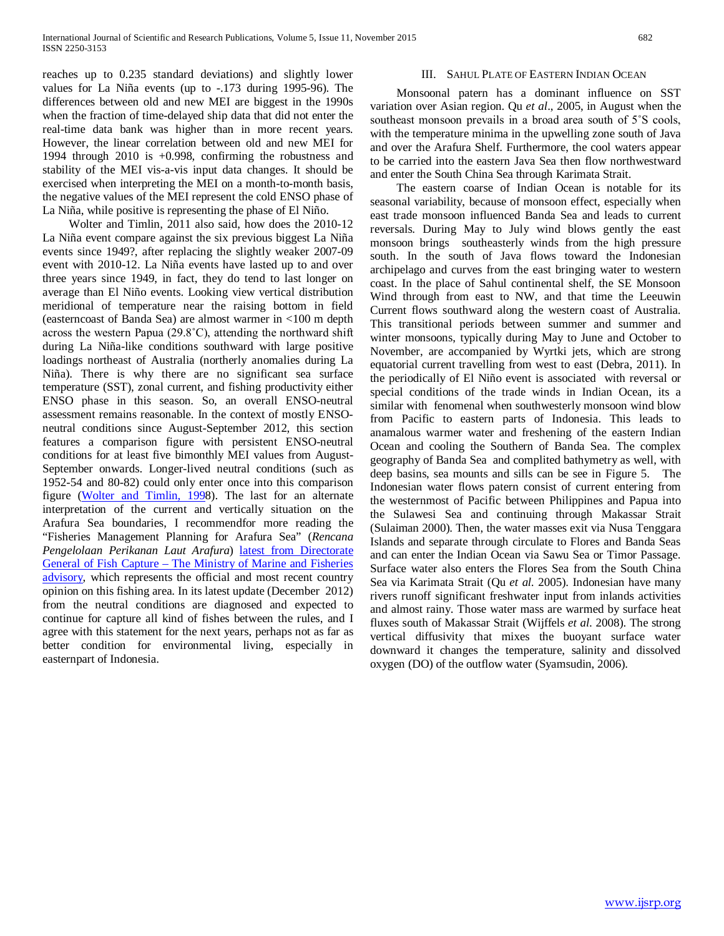reaches up to 0.235 standard deviations) and slightly lower values for La Niña events (up to -.173 during 1995-96). The differences between old and new MEI are biggest in the 1990s when the fraction of time-delayed ship data that did not enter the real-time data bank was higher than in more recent years. However, the linear correlation between old and new MEI for 1994 through 2010 is +0.998, confirming the robustness and stability of the MEI vis-a-vis input data changes. It should be exercised when interpreting the MEI on a month-to-month basis, the negative values of the MEI represent the cold ENSO phase of La Niña, while positive is representing the phase of El Niño.

 Wolter and Timlin, 2011 also said, how does the 2010-12 La Niña event compare against the six previous biggest La Niña events since 1949?, after replacing the slightly weaker 2007-09 event with 2010-12. La Niña events have lasted up to and over three years since 1949, in fact, they do tend to last longer on average than El Niño events. Looking view vertical distribution meridional of temperature near the raising bottom in field (easterncoast of Banda Sea) are almost warmer in <100 m depth across the western Papua (29.8˚C), attending the northward shift during La Niña-like conditions southward with large positive loadings northeast of Australia (northerly anomalies during La Niña). There is why there are no significant sea surface temperature (SST), zonal current, and fishing productivity either ENSO phase in this season. So, an overall ENSO-neutral assessment remains reasonable. In the context of mostly ENSOneutral conditions since August-September 2012, this section features a comparison figure with persistent ENSO-neutral conditions for at least five bimonthly MEI values from August-September onwards. Longer-lived neutral conditions (such as 1952-54 and 80-82) could only enter once into this comparison figure [\(Wolter and Timlin, 1998](http://www.esrl.noaa.gov/psd/enso/mei/#ref_wt1)). The last for an alternate interpretation of the current and vertically situation on the Arafura Sea boundaries, I recommendfor more reading the "Fisheries Management Planning for Arafura Sea" (*Rencana Pengelolaan Perikanan Laut Arafura*) [latest from Directorate](http://www.cpc.ncep.noaa.gov/products/analysis_monitoring/enso_advisory/)  General of Fish Capture *–* [The Ministry of Marine and Fisheries](http://www.cpc.ncep.noaa.gov/products/analysis_monitoring/enso_advisory/)  [advisory,](http://www.cpc.ncep.noaa.gov/products/analysis_monitoring/enso_advisory/) which represents the official and most recent country opinion on this fishing area. In its latest update (December 2012) from the neutral conditions are diagnosed and expected to continue for capture all kind of fishes between the rules, and I agree with this statement for the next years, perhaps not as far as better condition for environmental living, especially in easternpart of Indonesia.

# III. SAHUL PLATE OF EASTERN INDIAN OCEAN

 Monsoonal patern has a dominant influence on SST variation over Asian region. Qu *et al*., 2005, in August when the southeast monsoon prevails in a broad area south of 5°S cools, with the temperature minima in the upwelling zone south of Java and over the Arafura Shelf. Furthermore, the cool waters appear to be carried into the eastern Java Sea then flow northwestward and enter the South China Sea through Karimata Strait.

 The eastern coarse of Indian Ocean is notable for its seasonal variability, because of monsoon effect, especially when east trade monsoon influenced Banda Sea and leads to current reversals. During May to July wind blows gently the east monsoon brings southeasterly winds from the high pressure south. In the south of Java flows toward the Indonesian archipelago and curves from the east bringing water to western coast. In the place of Sahul continental shelf, the SE Monsoon Wind through from east to NW, and that time the Leeuwin Current flows southward along the western coast of Australia. This transitional periods between summer and summer and winter monsoons, typically during May to June and October to November, are accompanied by Wyrtki jets, which are strong equatorial current travelling from west to east (Debra, 2011). In the periodically of El Niño event is associated with reversal or special conditions of the trade winds in Indian Ocean, its a similar with fenomenal when southwesterly monsoon wind blow from Pacific to eastern parts of Indonesia. This leads to anamalous warmer water and freshening of the eastern Indian Ocean and cooling the Southern of Banda Sea. The complex geography of Banda Sea and complited bathymetry as well, with deep basins, sea mounts and sills can be see in Figure 5. The Indonesian water flows patern consist of current entering from the westernmost of Pacific between Philippines and Papua into the Sulawesi Sea and continuing through Makassar Strait (Sulaiman 2000). Then, the water masses exit via Nusa Tenggara Islands and separate through circulate to Flores and Banda Seas and can enter the Indian Ocean via Sawu Sea or Timor Passage. Surface water also enters the Flores Sea from the South China Sea via Karimata Strait (Qu *et al.* 2005). Indonesian have many rivers runoff significant freshwater input from inlands activities and almost rainy. Those water mass are warmed by surface heat fluxes south of Makassar Strait (Wijffels *et al.* 2008). The strong vertical diffusivity that mixes the buoyant surface water downward it changes the temperature, salinity and dissolved oxygen (DO) of the outflow water (Syamsudin, 2006).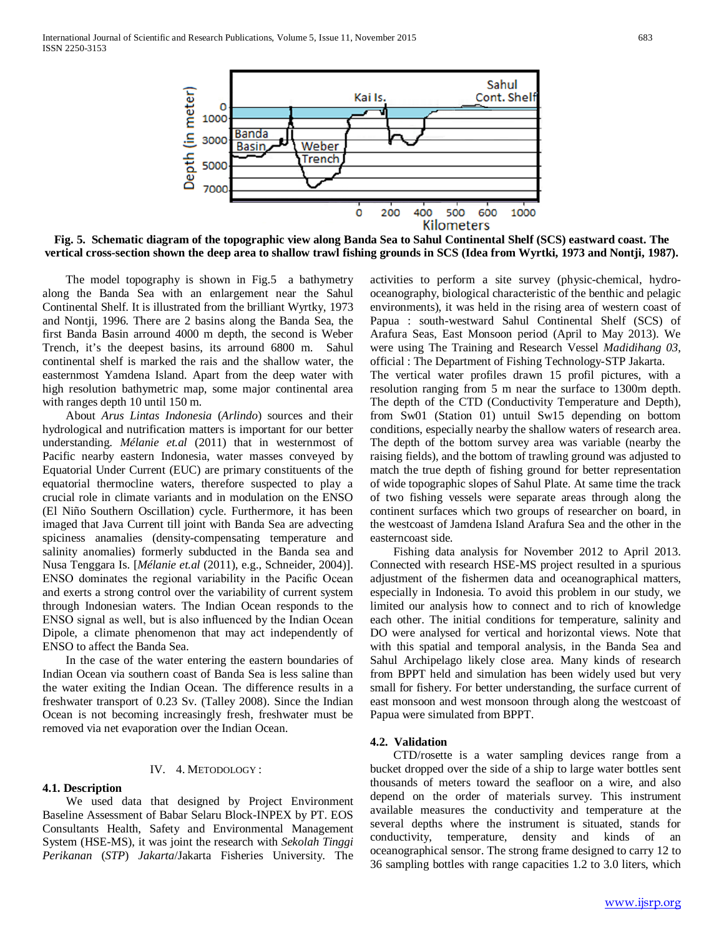

**Fig. 5. Schematic diagram of the topographic view along Banda Sea to Sahul Continental Shelf (SCS) eastward coast. The vertical cross-section shown the deep area to shallow trawl fishing grounds in SCS (Idea from Wyrtki, 1973 and Nontji, 1987).**

The model topography is shown in Fig.5 a bathymetry along the Banda Sea with an enlargement near the Sahul Continental Shelf. It is illustrated from the brilliant Wyrtky, 1973 and Nontji, 1996. There are 2 basins along the Banda Sea, the first Banda Basin arround 4000 m depth, the second is Weber Trench, it's the deepest basins, its arround 6800 m. Sahul continental shelf is marked the rais and the shallow water, the easternmost Yamdena Island. Apart from the deep water with high resolution bathymetric map, some major continental area with ranges depth 10 until 150 m.

 About *Arus Lintas Indonesia* (*Arlindo*) sources and their hydrological and nutrification matters is important for our better understanding. *Mélanie et.al* (2011) that in westernmost of Pacific nearby eastern Indonesia, water masses conveyed by Equatorial Under Current (EUC) are primary constituents of the equatorial thermocline waters, therefore suspected to play a crucial role in climate variants and in modulation on the ENSO (El Niño Southern Oscillation) cycle. Furthermore, it has been imaged that Java Current till joint with Banda Sea are advecting spiciness anamalies (density-compensating temperature and salinity anomalies) formerly subducted in the Banda sea and Nusa Tenggara Is. [*Mélanie et.al* (2011), e.g., Schneider, 2004)]. ENSO dominates the regional variability in the Pacific Ocean and exerts a strong control over the variability of current system through Indonesian waters. The Indian Ocean responds to the ENSO signal as well, but is also influenced by the Indian Ocean Dipole, a climate phenomenon that may act independently of ENSO to affect the Banda Sea.

 In the case of the water entering the eastern boundaries of Indian Ocean via southern coast of Banda Sea is less saline than the water exiting the Indian Ocean. The difference results in a freshwater transport of 0.23 Sv. (Talley 2008). Since the Indian Ocean is not becoming increasingly fresh, freshwater must be removed via net evaporation over the Indian Ocean.

## IV. 4. METODOLOGY :

## **4.1. Description**

 We used data that designed by Project Environment Baseline Assessment of Babar Selaru Block-INPEX by PT. EOS Consultants Health, Safety and Environmental Management System (HSE-MS), it was joint the research with *Sekolah Tinggi Perikanan* (*STP*) *Jakarta*/Jakarta Fisheries University. The activities to perform a site survey (physic-chemical, hydrooceanography, biological characteristic of the benthic and pelagic environments), it was held in the rising area of western coast of Papua : south-westward Sahul Continental Shelf (SCS) of Arafura Seas, East Monsoon period (April to May 2013). We were using The Training and Research Vessel *Madidihang 03*, official : The Department of Fishing Technology-STP Jakarta. The vertical water profiles drawn 15 profil pictures, with a resolution ranging from 5 m near the surface to 1300m depth. The depth of the CTD (Conductivity Temperature and Depth), from Sw01 (Station 01) untuil Sw15 depending on bottom conditions, especially nearby the shallow waters of research area. The depth of the bottom survey area was variable (nearby the raising fields), and the bottom of trawling ground was adjusted to match the true depth of fishing ground for better representation of wide topographic slopes of Sahul Plate. At same time the track of two fishing vessels were separate areas through along the continent surfaces which two groups of researcher on board, in the westcoast of Jamdena Island Arafura Sea and the other in the easterncoast side.

 Fishing data analysis for November 2012 to April 2013. Connected with research HSE-MS project resulted in a spurious adjustment of the fishermen data and oceanographical matters, especially in Indonesia. To avoid this problem in our study, we limited our analysis how to connect and to rich of knowledge each other. The initial conditions for temperature, salinity and DO were analysed for vertical and horizontal views. Note that with this spatial and temporal analysis, in the Banda Sea and Sahul Archipelago likely close area. Many kinds of research from BPPT held and simulation has been widely used but very small for fishery. For better understanding, the surface current of east monsoon and west monsoon through along the westcoast of Papua were simulated from BPPT.

#### **4.2. Validation**

 CTD/rosette is a water sampling devices range from a bucket dropped over the side of a ship to large water bottles sent thousands of meters toward the seafloor on a wire, and also depend on the order of materials survey. This instrument available measures the conductivity and temperature at the several depths where the instrument is situated, stands for conductivity, temperature, density and kinds of an oceanographical sensor. The strong frame designed to carry 12 to 36 sampling bottles with range capacities 1.2 to 3.0 liters, which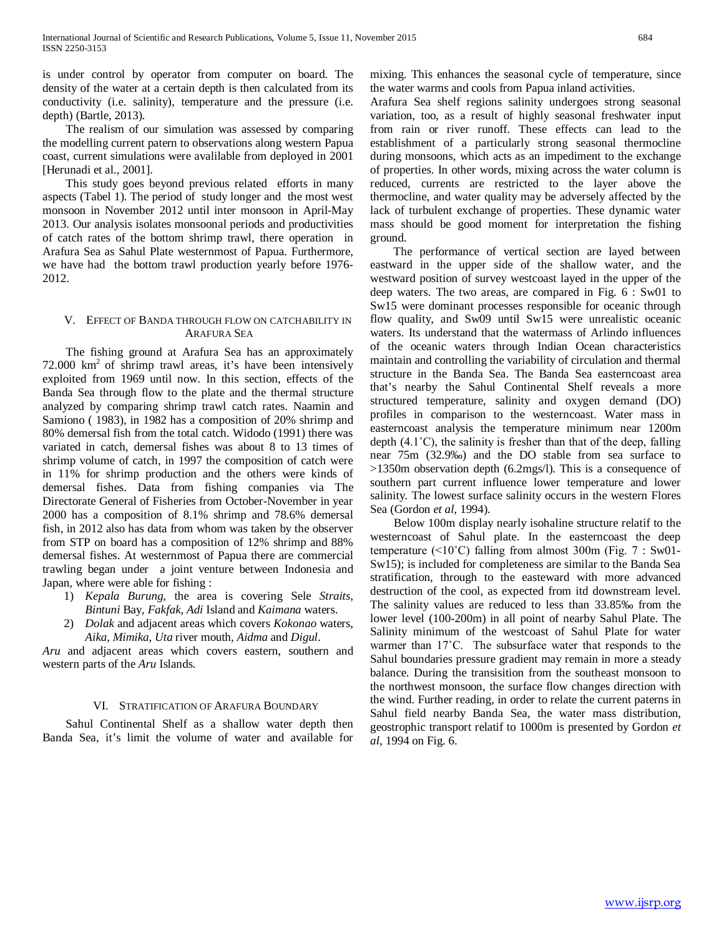is under control by operator from computer on board. The density of the water at a certain depth is then calculated from its conductivity (i.e. salinity), temperature and the pressure (i.e. depth) (Bartle, 2013).

 The realism of our simulation was assessed by comparing the modelling current patern to observations along western Papua coast, current simulations were avalilable from deployed in 2001 [Herunadi et al., 2001].

 This study goes beyond previous related efforts in many aspects (Tabel 1). The period of study longer and the most west monsoon in November 2012 until inter monsoon in April-May 2013. Our analysis isolates monsoonal periods and productivities of catch rates of the bottom shrimp trawl, there operation in Arafura Sea as Sahul Plate westernmost of Papua. Furthermore, we have had the bottom trawl production yearly before 1976- 2012.

# V. EFFECT OF BANDA THROUGH FLOW ON CATCHABILITY IN ARAFURA SEA

 The fishing ground at Arafura Sea has an approximately  $72.000 \text{ km}^2$  of shrimp trawl areas, it's have been intensively exploited from 1969 until now. In this section, effects of the Banda Sea through flow to the plate and the thermal structure analyzed by comparing shrimp trawl catch rates. Naamin and Samiono ( 1983), in 1982 has a composition of 20% shrimp and 80% demersal fish from the total catch. Widodo (1991) there was variated in catch, demersal fishes was about 8 to 13 times of shrimp volume of catch, in 1997 the composition of catch were in 11% for shrimp production and the others were kinds of demersal fishes. Data from fishing companies via The Directorate General of Fisheries from October-November in year 2000 has a composition of 8.1% shrimp and 78.6% demersal fish, in 2012 also has data from whom was taken by the observer from STP on board has a composition of 12% shrimp and 88% demersal fishes. At westernmost of Papua there are commercial trawling began under a joint venture between Indonesia and Japan, where were able for fishing :

- 1) *Kepala Burung*, the area is covering Sele *Straits, Bintuni* Bay, *Fakfak, Adi* Island and *Kaimana* waters.
- 2) *Dolak* and adjacent areas which covers *Kokonao* waters, *Aika, Mimika, Uta* river mouth, *Aidma* and *Digul*.

*Aru* and adjacent areas which covers eastern, southern and western parts of the *Aru* Islands.

# VI. STRATIFICATION OF ARAFURA BOUNDARY

 Sahul Continental Shelf as a shallow water depth then Banda Sea, it's limit the volume of water and available for

mixing. This enhances the seasonal cycle of temperature, since the water warms and cools from Papua inland activities.

Arafura Sea shelf regions salinity undergoes strong seasonal variation, too, as a result of highly seasonal freshwater input from rain or river runoff. These effects can lead to the establishment of a particularly strong seasonal thermocline during monsoons, which acts as an impediment to the exchange of properties. In other words, mixing across the water column is reduced, currents are restricted to the layer above the thermocline, and water quality may be adversely affected by the lack of turbulent exchange of properties. These dynamic water mass should be good moment for interpretation the fishing ground.

 The performance of vertical section are layed between eastward in the upper side of the shallow water, and the westward position of survey westcoast layed in the upper of the deep waters. The two areas, are compared in Fig. 6 : Sw01 to Sw15 were dominant processes responsible for oceanic through flow quality, and Sw09 until Sw15 were unrealistic oceanic waters. Its understand that the watermass of Arlindo influences of the oceanic waters through Indian Ocean characteristics maintain and controlling the variability of circulation and thermal structure in the Banda Sea. The Banda Sea easterncoast area that's nearby the Sahul Continental Shelf reveals a more structured temperature, salinity and oxygen demand (DO) profiles in comparison to the westerncoast. Water mass in easterncoast analysis the temperature minimum near 1200m depth (4.1˚C), the salinity is fresher than that of the deep, falling near 75m (32.9‰) and the DO stable from sea surface to >1350m observation depth (6.2mgs/l). This is a consequence of southern part current influence lower temperature and lower salinity. The lowest surface salinity occurs in the western Flores Sea (Gordon *et al*, 1994).

 Below 100m display nearly isohaline structure relatif to the westerncoast of Sahul plate. In the easterncoast the deep temperature  $(\leq 10^{\circ} \text{C})$  falling from almost 300m (Fig. 7 : Sw01-Sw15); is included for completeness are similar to the Banda Sea stratification, through to the easteward with more advanced destruction of the cool, as expected from itd downstream level. The salinity values are reduced to less than 33.85‰ from the lower level (100-200m) in all point of nearby Sahul Plate. The Salinity minimum of the westcoast of Sahul Plate for water warmer than 17˚C. The subsurface water that responds to the Sahul boundaries pressure gradient may remain in more a steady balance. During the transisition from the southeast monsoon to the northwest monsoon, the surface flow changes direction with the wind. Further reading, in order to relate the current paterns in Sahul field nearby Banda Sea, the water mass distribution, geostrophic transport relatif to 1000m is presented by Gordon *et al*, 1994 on Fig. 6.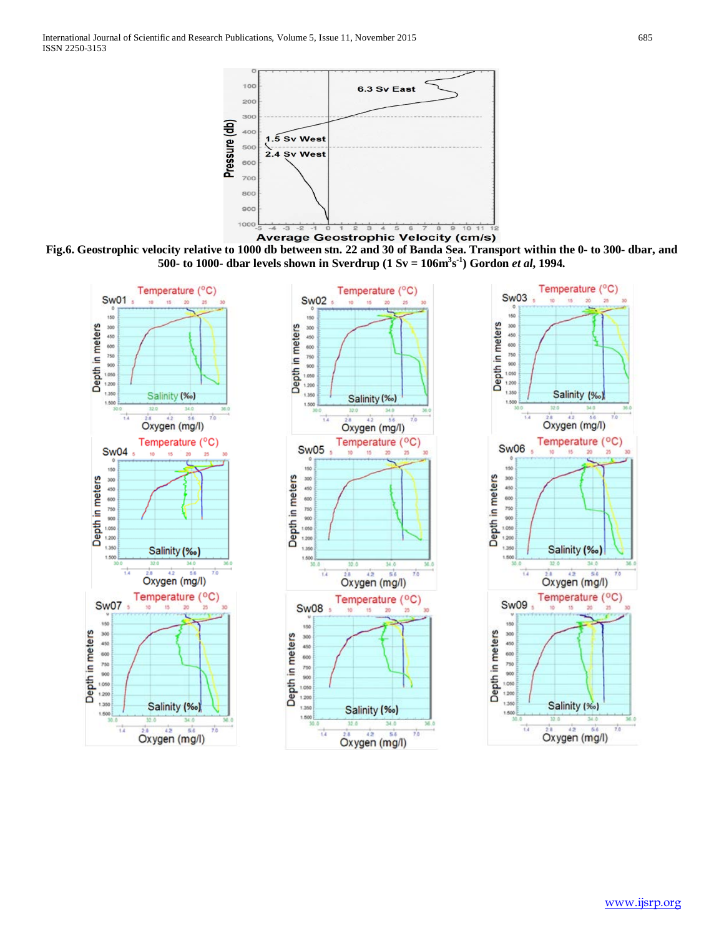

**Average Geostrophic Velocity (cm/s)** 

**Fig.6. Geostrophic velocity relative to 1000 db between stn. 22 and 30 of Banda Sea. Transport within the 0- to 300- dbar, and 500- to 1000- dbar levels shown in Sverdrup (1 Sv = 106m3 s -1 ) Gordon** *et al***, 1994.**

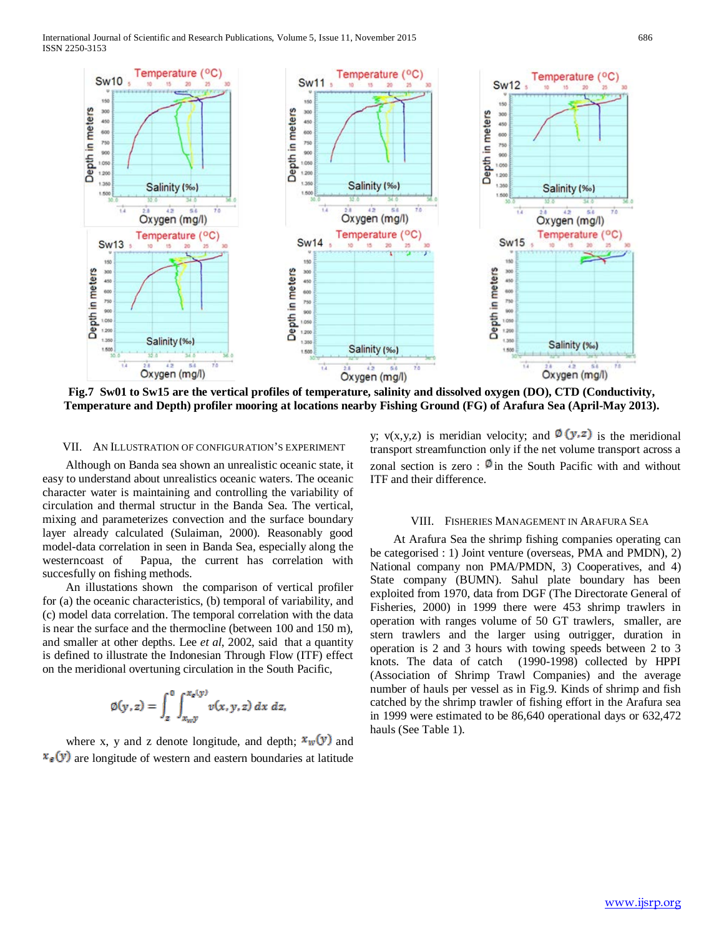

**Fig.7 Sw01 to Sw15 are the vertical profiles of temperature, salinity and dissolved oxygen (DO), CTD (Conductivity, Temperature and Depth) profiler mooring at locations nearby Fishing Ground (FG) of Arafura Sea (April-May 2013).**

## VII. AN ILLUSTRATION OF CONFIGURATION'S EXPERIMENT

 Although on Banda sea shown an unrealistic oceanic state, it easy to understand about unrealistics oceanic waters. The oceanic character water is maintaining and controlling the variability of circulation and thermal structur in the Banda Sea. The vertical, mixing and parameterizes convection and the surface boundary layer already calculated (Sulaiman, 2000). Reasonably good model-data correlation in seen in Banda Sea, especially along the westerncoast of Papua, the current has correlation with succesfully on fishing methods.

 An illustations shown the comparison of vertical profiler for (a) the oceanic characteristics, (b) temporal of variability, and (c) model data correlation. The temporal correlation with the data is near the surface and the thermocline (between 100 and 150 m), and smaller at other depths. Lee *et al*, 2002, said that a quantity is defined to illustrate the Indonesian Through Flow (ITF) effect on the meridional overtuning circulation in the South Pacific,

$$
\varnothing(y,z) = \int_z^0 \int_{x_{w}y}^{x_z(y)} v(x,y,z) \, dx \, dz,
$$

where x, y and z denote longitude, and depth;  $\mathbf{x}_w(\mathbf{y})$  and  $\mathbf{x}_{\epsilon}(y)$  are longitude of western and eastern boundaries at latitude y;  $v(x,y,z)$  is meridian velocity; and  $\mathcal{O}(y,z)$  is the meridional transport streamfunction only if the net volume transport across a zonal section is zero :  $\mathbb{Q}$  in the South Pacific with and without ITF and their difference.

#### VIII. FISHERIES MANAGEMENT IN ARAFURA SEA

 At Arafura Sea the shrimp fishing companies operating can be categorised : 1) Joint venture (overseas, PMA and PMDN), 2) National company non PMA/PMDN, 3) Cooperatives, and 4) State company (BUMN). Sahul plate boundary has been exploited from 1970, data from DGF (The Directorate General of Fisheries, 2000) in 1999 there were 453 shrimp trawlers in operation with ranges volume of 50 GT trawlers, smaller, are stern trawlers and the larger using outrigger, duration in operation is 2 and 3 hours with towing speeds between 2 to 3 knots. The data of catch (1990-1998) collected by HPPI (Association of Shrimp Trawl Companies) and the average number of hauls per vessel as in Fig.9. Kinds of shrimp and fish catched by the shrimp trawler of fishing effort in the Arafura sea in 1999 were estimated to be 86,640 operational days or 632,472 hauls (See Table 1).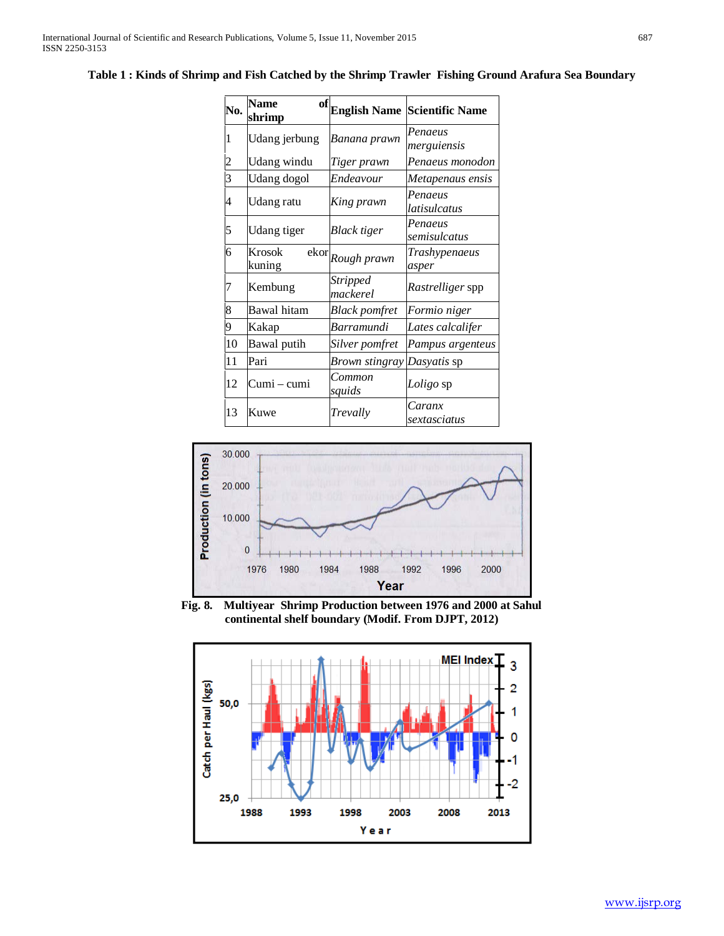| No.                     | <b>Name</b><br>of<br>shrimp | <b>English Name</b>           | <b>Scientific Name</b>  |
|-------------------------|-----------------------------|-------------------------------|-------------------------|
| 1                       | Udang jerbung               | Banana prawn                  | Penaeus<br>merguiensis  |
| $\overline{\mathbf{c}}$ | Udang windu                 | Tiger prawn                   | Penaeus monodon         |
| 3                       | <b>Udang</b> dogol          | Endeavour                     | Metapenaus ensis        |
| 4                       | Udang ratu                  | King prawn                    | Penaeus<br>latisulcatus |
| 5                       | Udang tiger                 | <b>Black</b> tiger            | Penaeus<br>semisulcatus |
| 6                       | Krosok<br>kuning            | $ekor$ <sub>Rough</sub> prawn | Trashypenaeus<br>asper  |
| 7                       | Kembung                     | <b>Stripped</b><br>mackerel   | Rastrelliger spp        |
| 8                       | Bawal hitam                 | <b>Black pomfret</b>          | Formio niger            |
| 9                       | Kakap                       | <b>Barramundi</b>             | Lates calcalifer        |
| 10                      | Bawal putih                 | Silver pomfret                | Pampus argenteus        |
| 11                      | Pari                        | Brown stingray Dasyatis sp    |                         |
| 12                      | Cumi – cumi                 | Common<br>squids              | Loligo sp               |
| 13                      | Kuwe                        | Trevally                      | Caranx<br>sextasciatus  |



**Fig. 8. Multiyear Shrimp Production between 1976 and 2000 at Sahul continental shelf boundary (Modif. From DJPT, 2012)**

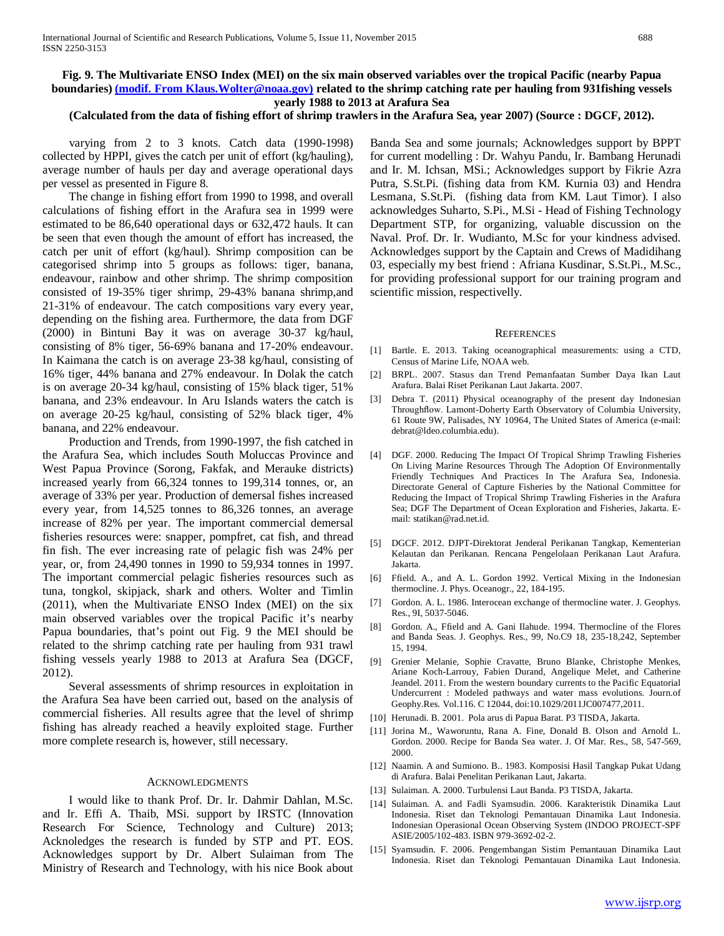# **Fig. 9. The Multivariate ENSO Index (MEI) on the six main observed variables over the tropical Pacific (nearby Papua boundaries[\) \(modif. From Klaus.Wolter@noaa.gov\)](mailto:(modif.%20From%20Klaus.Wolter@noaa.gov)) related to the shrimp catching rate per hauling from 931fishing vessels yearly 1988 to 2013 at Arafura Sea**

# **(Calculated from the data of fishing effort of shrimp trawlers in the Arafura Sea, year 2007) (Source : DGCF, 2012).**

 varying from 2 to 3 knots. Catch data (1990-1998) collected by HPPI, gives the catch per unit of effort (kg/hauling), average number of hauls per day and average operational days per vessel as presented in Figure 8.

 The change in fishing effort from 1990 to 1998, and overall calculations of fishing effort in the Arafura sea in 1999 were estimated to be 86,640 operational days or 632,472 hauls. It can be seen that even though the amount of effort has increased, the catch per unit of effort (kg/haul). Shrimp composition can be categorised shrimp into 5 groups as follows: tiger, banana, endeavour, rainbow and other shrimp. The shrimp composition consisted of 19-35% tiger shrimp, 29-43% banana shrimp,and 21-31% of endeavour. The catch compositions vary every year, depending on the fishing area. Furthermore, the data from DGF (2000) in Bintuni Bay it was on average 30-37 kg/haul, consisting of 8% tiger, 56-69% banana and 17-20% endeavour. In Kaimana the catch is on average 23-38 kg/haul, consisting of 16% tiger, 44% banana and 27% endeavour. In Dolak the catch is on average 20-34 kg/haul, consisting of 15% black tiger, 51% banana, and 23% endeavour. In Aru Islands waters the catch is on average 20-25 kg/haul, consisting of 52% black tiger, 4% banana, and 22% endeavour.

 Production and Trends, from 1990-1997, the fish catched in the Arafura Sea, which includes South Moluccas Province and West Papua Province (Sorong, Fakfak, and Merauke districts) increased yearly from 66,324 tonnes to 199,314 tonnes, or, an average of 33% per year. Production of demersal fishes increased every year, from 14,525 tonnes to 86,326 tonnes, an average increase of 82% per year. The important commercial demersal fisheries resources were: snapper, pompfret, cat fish, and thread fin fish. The ever increasing rate of pelagic fish was 24% per year, or, from 24,490 tonnes in 1990 to 59,934 tonnes in 1997. The important commercial pelagic fisheries resources such as tuna, tongkol, skipjack, shark and others. Wolter and Timlin (2011), when the Multivariate ENSO Index (MEI) on the six main observed variables over the tropical Pacific it's nearby Papua boundaries, that's point out Fig. 9 the MEI should be related to the shrimp catching rate per hauling from 931 trawl fishing vessels yearly 1988 to 2013 at Arafura Sea (DGCF, 2012).

 Several assessments of shrimp resources in exploitation in the Arafura Sea have been carried out, based on the analysis of commercial fisheries. All results agree that the level of shrimp fishing has already reached a heavily exploited stage. Further more complete research is, however, still necessary.

#### ACKNOWLEDGMENTS

 I would like to thank Prof. Dr. Ir. Dahmir Dahlan, M.Sc. and Ir. Effi A. Thaib, MSi. support by IRSTC (Innovation Research For Science, Technology and Culture) 2013; Acknoledges the research is funded by STP and PT. EOS. Acknowledges support by Dr. Albert Sulaiman from The Ministry of Research and Technology, with his nice Book about

Banda Sea and some journals; Acknowledges support by BPPT for current modelling : Dr. Wahyu Pandu, Ir. Bambang Herunadi and Ir. M. Ichsan, MSi.; Acknowledges support by Fikrie Azra Putra, S.St.Pi. (fishing data from KM. Kurnia 03) and Hendra Lesmana, S.St.Pi. (fishing data from KM. Laut Timor). I also acknowledges Suharto, S.Pi., M.Si - Head of Fishing Technology Department STP, for organizing, valuable discussion on the Naval. Prof. Dr. Ir. Wudianto, M.Sc for your kindness advised. Acknowledges support by the Captain and Crews of Madidihang 03, especially my best friend : Afriana Kusdinar, S.St.Pi., M.Sc., for providing professional support for our training program and scientific mission, respectivelly.

#### **REFERENCES**

- [1] Bartle. E. 2013. Taking oceanographical measurements: using a CTD, Census of Marine Life, NOAA web.
- [2] BRPL. 2007. Stasus dan Trend Pemanfaatan Sumber Daya Ikan Laut Arafura. Balai Riset Perikanan Laut Jakarta. 2007.
- [3] Debra T. (2011) Physical oceanography of the present day Indonesian Throughflow. Lamont-Doherty Earth Observatory of Columbia University, 61 Route 9W, Palisades, NY 10964, The United States of America (e-mail: debrat@ldeo.columbia.edu).
- [4] DGF. 2000. Reducing The Impact Of Tropical Shrimp Trawling Fisheries On Living Marine Resources Through The Adoption Of Environmentally Friendly Techniques And Practices In The Arafura Sea, Indonesia. Directorate General of Capture Fisheries by the National Committee for Reducing the Impact of Tropical Shrimp Trawling Fisheries in the Arafura Sea; DGF The Department of Ocean Exploration and Fisheries, Jakarta. Email: statikan@rad.net.id.
- [5] DGCF. 2012. DJPT-Direktorat Jenderal Perikanan Tangkap, Kementerian Kelautan dan Perikanan. Rencana Pengelolaan Perikanan Laut Arafura. Jakarta.
- [6] Ffield. A., and A. L. Gordon 1992. Vertical Mixing in the Indonesian thermocline. J. Phys. Oceanogr., 22, 184-195.
- [7] Gordon. A. L. 1986. Interocean exchange of thermocline water. J. Geophys. Res., 9I, 5037-5046.
- [8] Gordon. A., Ffield and A. Gani Ilahude. 1994. Thermocline of the Flores and Banda Seas. J. Geophys. Res., 99, No.C9 18, 235-18,242, September 15, 1994.
- [9] Grenier Melanie, Sophie Cravatte, Bruno Blanke, Christophe Menkes, Ariane Koch-Larrouy, Fabien Durand, Angelique Melet, and Catherine Jeandel. 2011. From the western boundary currents to the Pacific Equatorial Undercurrent : Modeled pathways and water mass evolutions. Journ.of Geophy.Res. Vol.116. C 12044, doi:10.1029/2011JC007477,2011.
- [10] Herunadi. B. 2001. Pola arus di Papua Barat. P3 TISDA, Jakarta.
- [11] Jorina M., Waworuntu, Rana A. Fine, Donald B. Olson and Arnold L. Gordon. 2000. Recipe for Banda Sea water. J. Of Mar. Res., 58, 547-569, 2000.
- [12] Naamin. A and Sumiono. B.. 1983. Komposisi Hasil Tangkap Pukat Udang di Arafura. Balai Penelitan Perikanan Laut, Jakarta.
- [13] Sulaiman. A. 2000. Turbulensi Laut Banda. P3 TISDA, Jakarta.
- [14] Sulaiman. A. and Fadli Syamsudin. 2006. Karakteristik Dinamika Laut Indonesia. Riset dan Teknologi Pemantauan Dinamika Laut Indonesia. Indonesian Operasional Ocean Observing System (INDOO PROJECT-SPF ASIE/2005/102-483. ISBN 979-3692-02-2.
- [15] Syamsudin. F. 2006. Pengembangan Sistim Pemantauan Dinamika Laut Indonesia. Riset dan Teknologi Pemantauan Dinamika Laut Indonesia.